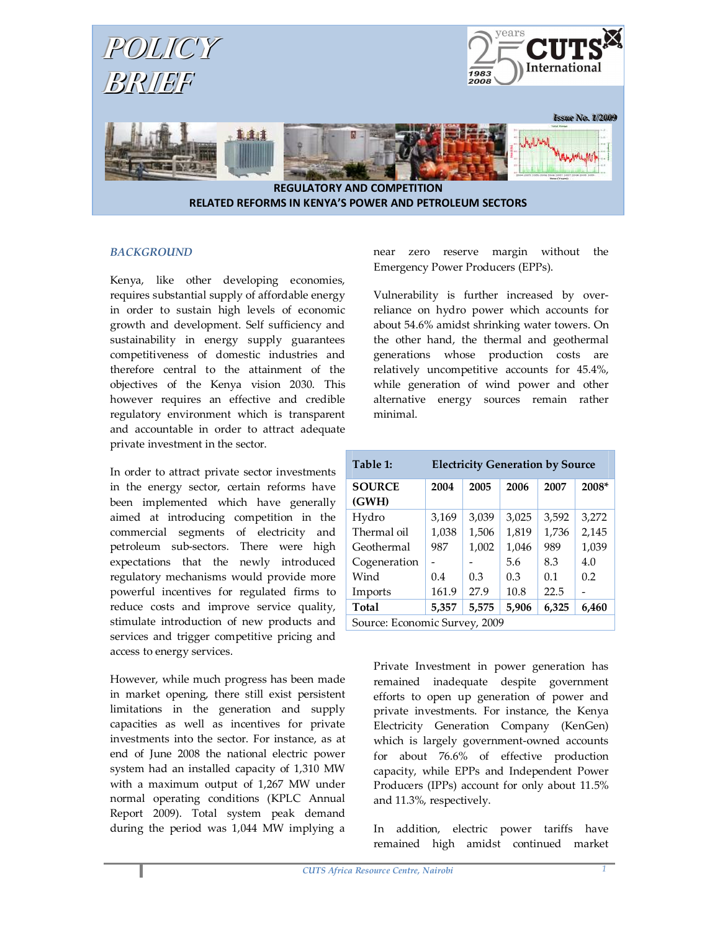

### **BACKGROUND**

Kenya, like other developing economies, requires substantial supply of affordable energy in order to sustain high levels of economic growth and development. Self sufficiency and sustainability in energy supply guarantees competitiveness of domestic industries and therefore central to the attainment of the objectives of the Kenya vision 2030. This however requires an effective and credible regulatory environment which is transparent and accountable in order to attract adequate private investment in the sector.

In order to attract private sector investments in the energy sector, certain reforms have been implemented which have generally aimed at introducing competition in the commercial segments of electricity and petroleum sub-sectors. There were high expectations that the newly introduced regulatory mechanisms would provide more powerful incentives for regulated firms to reduce costs and improve service quality, stimulate introduction of new products and services and trigger competitive pricing and access to energy services.

However, while much progress has been made in market opening, there still exist persistent limitations in the generation and supply capacities as well as incentives for private investments into the sector. For instance, as at end of June 2008 the national electric power system had an installed capacity of 1,310 MW with a maximum output of 1,267 MW under normal operating conditions (KPLC Annual Report 2009). Total system peak demand during the period was 1,044 MW implying a

near zero reserve margin without the Emergency Power Producers (EPPs).

Vulnerability is further increased by overreliance on hydro power which accounts for about 54.6% amidst shrinking water towers. On the other hand, the thermal and geothermal generations whose production costs are relatively uncompetitive accounts for 45.4%, while generation of wind power and other alternative energy sources remain rather minimal.

| Table 1:                      | <b>Electricity Generation by Source</b> |       |       |       |       |
|-------------------------------|-----------------------------------------|-------|-------|-------|-------|
| <b>SOURCE</b>                 | 2004                                    | 2005  | 2006  | 2007  | 2008* |
| (GWH)                         |                                         |       |       |       |       |
| Hydro                         | 3,169                                   | 3,039 | 3,025 | 3,592 | 3,272 |
| Thermal oil                   | 1,038                                   | 1,506 | 1,819 | 1,736 | 2,145 |
| Geothermal                    | 987                                     | 1,002 | 1,046 | 989   | 1,039 |
| Cogeneration                  |                                         |       | 5.6   | 8.3   | 4.0   |
| Wind                          | 0.4                                     | 0.3   | 0.3   | 0.1   | 0.2   |
| Imports                       | 161.9                                   | 27.9  | 10.8  | 22.5  |       |
| Total                         | 5,357                                   | 5,575 | 5,906 | 6,325 | 6,460 |
| Source: Economic Survey, 2009 |                                         |       |       |       |       |

Private Investment in power generation has remained inadequate despite government efforts to open up generation of power and private investments. For instance, the Kenya Electricity Generation Company (KenGen) which is largely government-owned accounts for about 76.6% of effective production capacity, while EPPs and Independent Power Producers (IPPs) account for only about 11.5% and 11.3%, respectively.

In addition, electric power tariffs have remained high amidst continued market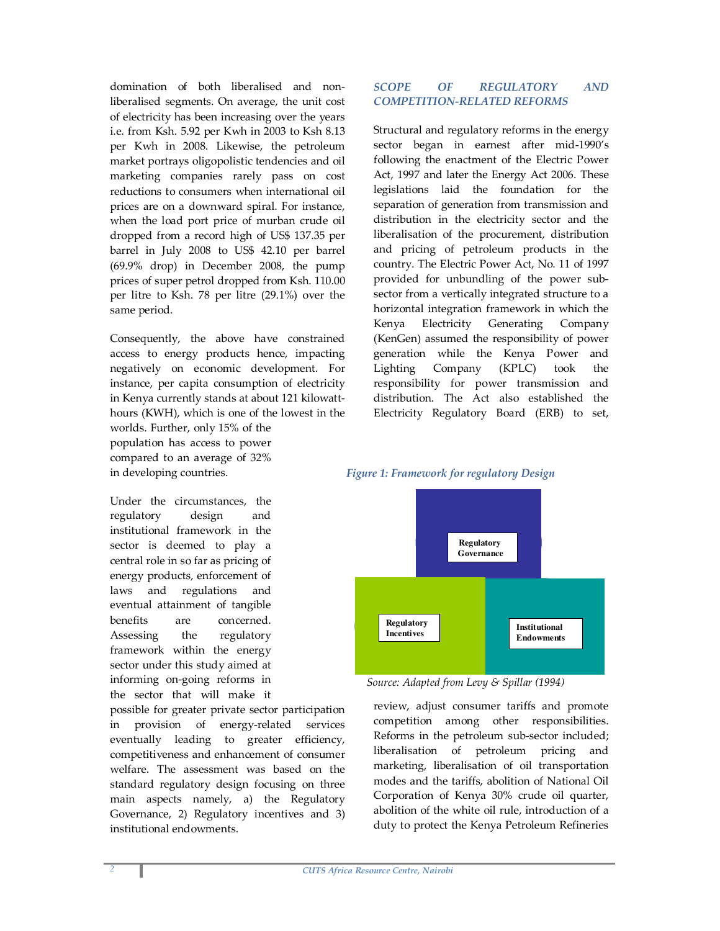domination of both liberalised and nonliberalised segments. On average, the unit cost of electricity has been increasing over the years i.e. from Ksh. 5.92 per Kwh in 2003 to Ksh 8.13 per Kwh in 2008. Likewise, the petroleum market portrays oligopolistic tendencies and oil marketing companies rarely pass on cost reductions to consumers when international oil prices are on a downward spiral. For instance, when the load port price of murban crude oil dropped from a record high of US\$ 137.35 per barrel in July 2008 to US\$ 42.10 per barrel (69.9% drop) in December 2008, the pump prices of super petrol dropped from Ksh. 110.00 per litre to Ksh. 78 per litre (29.1%) over the same period.

Consequently, the above have constrained access to energy products hence, impacting negatively on economic development. For instance, per capita consumption of electricity in Kenya currently stands at about 121 kilowatthours (KWH), which is one of the lowest in the

worlds. Further, only 15% of the population has access to power compared to an average of 32% in developing countries.

Under the circumstances, the regulatory design and institutional framework in the sector is deemed to play a central role in so far as pricing of energy products, enforcement of laws and regulations and eventual attainment of tangible benefits are concerned. Assessing the regulatory framework within the energy sector under this study aimed at informing on-going reforms in the sector that will make it

possible for greater private sector participation in provision of energy-related services eventually leading to greater efficiency, competitiveness and enhancement of consumer welfare. The assessment was based on the standard regulatory design focusing on three main aspects namely, a) the Regulatory Governance, 2) Regulatory incentives and 3) institutional endowments.

### SCOPE OF REGULATORY AND COMPETITION-RELATED REFORMS

Structural and regulatory reforms in the energy sector began in earnest after mid-1990's following the enactment of the Electric Power Act, 1997 and later the Energy Act 2006. These legislations laid the foundation for the separation of generation from transmission and distribution in the electricity sector and the liberalisation of the procurement, distribution and pricing of petroleum products in the country. The Electric Power Act, No. 11 of 1997 provided for unbundling of the power subsector from a vertically integrated structure to a horizontal integration framework in which the Kenya Electricity Generating Company (KenGen) assumed the responsibility of power generation while the Kenya Power and Lighting Company (KPLC) took the responsibility for power transmission and distribution. The Act also established the Electricity Regulatory Board (ERB) to set,





Source: Adapted from Levy & Spillar (1994)

review, adjust consumer tariffs and promote competition among other responsibilities. Reforms in the petroleum sub-sector included; liberalisation of petroleum pricing and marketing, liberalisation of oil transportation modes and the tariffs, abolition of National Oil Corporation of Kenya 30% crude oil quarter, abolition of the white oil rule, introduction of a duty to protect the Kenya Petroleum Refineries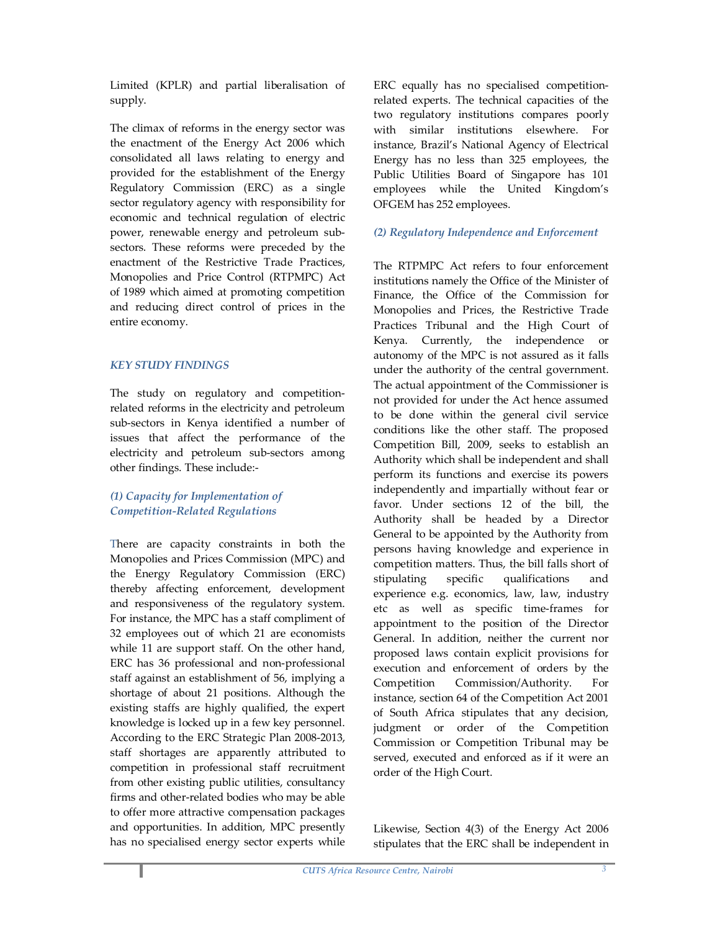Limited (KPLR) and partial liberalisation of supply.

The climax of reforms in the energy sector was the enactment of the Energy Act 2006 which consolidated all laws relating to energy and provided for the establishment of the Energy Regulatory Commission (ERC) as a single sector regulatory agency with responsibility for economic and technical regulation of electric power, renewable energy and petroleum subsectors. These reforms were preceded by the enactment of the Restrictive Trade Practices, Monopolies and Price Control (RTPMPC) Act of 1989 which aimed at promoting competition and reducing direct control of prices in the entire economy.

# KEY STUDY FINDINGS

The study on regulatory and competitionrelated reforms in the electricity and petroleum sub-sectors in Kenya identified a number of issues that affect the performance of the electricity and petroleum sub-sectors among other findings. These include:-

### (1) Capacity for Implementation of Competition-Related Regulations

There are capacity constraints in both the Monopolies and Prices Commission (MPC) and the Energy Regulatory Commission (ERC) thereby affecting enforcement, development and responsiveness of the regulatory system. For instance, the MPC has a staff compliment of 32 employees out of which 21 are economists while 11 are support staff. On the other hand, ERC has 36 professional and non-professional staff against an establishment of 56, implying a shortage of about 21 positions. Although the existing staffs are highly qualified, the expert knowledge is locked up in a few key personnel. According to the ERC Strategic Plan 2008-2013, staff shortages are apparently attributed to competition in professional staff recruitment from other existing public utilities, consultancy firms and other-related bodies who may be able to offer more attractive compensation packages and opportunities. In addition, MPC presently has no specialised energy sector experts while

ERC equally has no specialised competitionrelated experts. The technical capacities of the two regulatory institutions compares poorly with similar institutions elsewhere. For instance, Brazil's National Agency of Electrical Energy has no less than 325 employees, the Public Utilities Board of Singapore has 101 employees while the United Kingdom's OFGEM has 252 employees.

### (2) Regulatory Independence and Enforcement

The RTPMPC Act refers to four enforcement institutions namely the Office of the Minister of Finance, the Office of the Commission for Monopolies and Prices, the Restrictive Trade Practices Tribunal and the High Court of Kenya. Currently, the independence or autonomy of the MPC is not assured as it falls under the authority of the central government. The actual appointment of the Commissioner is not provided for under the Act hence assumed to be done within the general civil service conditions like the other staff. The proposed Competition Bill, 2009, seeks to establish an Authority which shall be independent and shall perform its functions and exercise its powers independently and impartially without fear or favor. Under sections 12 of the bill, the Authority shall be headed by a Director General to be appointed by the Authority from persons having knowledge and experience in competition matters. Thus, the bill falls short of stipulating specific qualifications and experience e.g. economics, law, law, industry etc as well as specific time-frames for appointment to the position of the Director General. In addition, neither the current nor proposed laws contain explicit provisions for execution and enforcement of orders by the Competition Commission/Authority. For instance, section 64 of the Competition Act 2001 of South Africa stipulates that any decision, judgment or order of the Competition Commission or Competition Tribunal may be served, executed and enforced as if it were an order of the High Court.

Likewise, Section 4(3) of the Energy Act 2006 stipulates that the ERC shall be independent in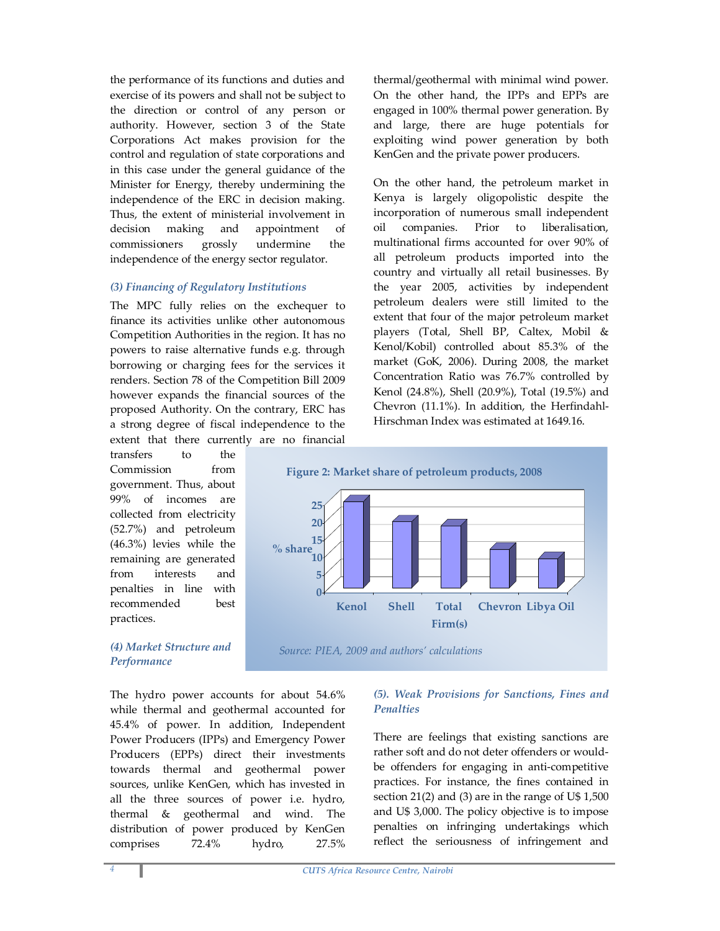the performance of its functions and duties and exercise of its powers and shall not be subject to the direction or control of any person or authority. However, section 3 of the State Corporations Act makes provision for the control and regulation of state corporations and in this case under the general guidance of the Minister for Energy, thereby undermining the independence of the ERC in decision making. Thus, the extent of ministerial involvement in decision making and appointment of commissioners grossly undermine the independence of the energy sector regulator.

### (3) Financing of Regulatory Institutions

The MPC fully relies on the exchequer to finance its activities unlike other autonomous Competition Authorities in the region. It has no powers to raise alternative funds e.g. through borrowing or charging fees for the services it renders. Section 78 of the Competition Bill 2009 however expands the financial sources of the proposed Authority. On the contrary, ERC has a strong degree of fiscal independence to the extent that there currently are no financial

transfers to the Commission from government. Thus, about 99% of incomes are collected from electricity (52.7%) and petroleum (46.3%) levies while the remaining are generated from interests and penalties in line with recommended best practices.

### (4) Market Structure and **Performance**

The hydro power accounts for about 54.6% while thermal and geothermal accounted for 45.4% of power. In addition, Independent Power Producers (IPPs) and Emergency Power Producers (EPPs) direct their investments towards thermal and geothermal power sources, unlike KenGen, which has invested in all the three sources of power i.e. hydro, thermal & geothermal and wind. The distribution of power produced by KenGen comprises 72.4% hydro, 27.5%

thermal/geothermal with minimal wind power. On the other hand, the IPPs and EPPs are engaged in 100% thermal power generation. By and large, there are huge potentials for exploiting wind power generation by both KenGen and the private power producers.

On the other hand, the petroleum market in Kenya is largely oligopolistic despite the incorporation of numerous small independent oil companies. Prior to liberalisation, multinational firms accounted for over 90% of all petroleum products imported into the country and virtually all retail businesses. By the year 2005, activities by independent petroleum dealers were still limited to the extent that four of the major petroleum market players (Total, Shell BP, Caltex, Mobil & Kenol/Kobil) controlled about 85.3% of the market (GoK, 2006). During 2008, the market Concentration Ratio was 76.7% controlled by Kenol (24.8%), Shell (20.9%), Total (19.5%) and Chevron (11.1%). In addition, the Herfindahl-Hirschman Index was estimated at 1649.16.





# (5). Weak Provisions for Sanctions, Fines and **Penalties**

There are feelings that existing sanctions are rather soft and do not deter offenders or wouldbe offenders for engaging in anti-competitive practices. For instance, the fines contained in section 21(2) and (3) are in the range of U\$ 1,500 and U\$ 3,000. The policy objective is to impose penalties on infringing undertakings which reflect the seriousness of infringement and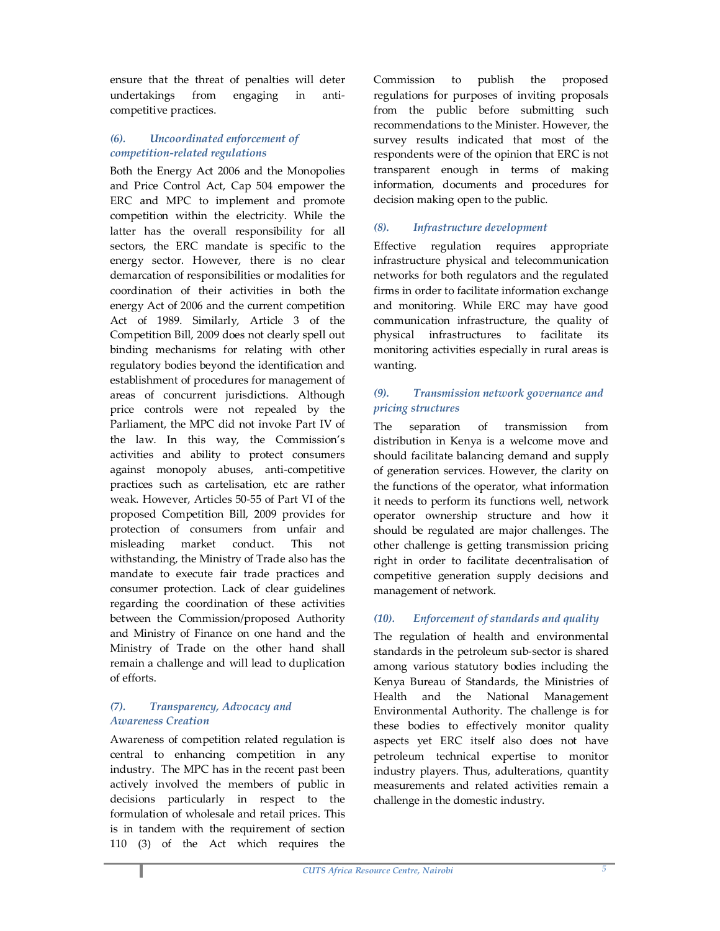ensure that the threat of penalties will deter undertakings from engaging in anticompetitive practices.

# (6). Uncoordinated enforcement of competition-related regulations

Both the Energy Act 2006 and the Monopolies and Price Control Act, Cap 504 empower the ERC and MPC to implement and promote competition within the electricity. While the latter has the overall responsibility for all sectors, the ERC mandate is specific to the energy sector. However, there is no clear demarcation of responsibilities or modalities for coordination of their activities in both the energy Act of 2006 and the current competition Act of 1989. Similarly, Article 3 of the Competition Bill, 2009 does not clearly spell out binding mechanisms for relating with other regulatory bodies beyond the identification and establishment of procedures for management of areas of concurrent jurisdictions. Although price controls were not repealed by the Parliament, the MPC did not invoke Part IV of the law. In this way, the Commission's activities and ability to protect consumers against monopoly abuses, anti-competitive practices such as cartelisation, etc are rather weak. However, Articles 50-55 of Part VI of the proposed Competition Bill, 2009 provides for protection of consumers from unfair and misleading market conduct. This not withstanding, the Ministry of Trade also has the mandate to execute fair trade practices and consumer protection. Lack of clear guidelines regarding the coordination of these activities between the Commission/proposed Authority and Ministry of Finance on one hand and the Ministry of Trade on the other hand shall remain a challenge and will lead to duplication of efforts.

# (7). Transparency, Advocacy and Awareness Creation

Awareness of competition related regulation is central to enhancing competition in any industry. The MPC has in the recent past been actively involved the members of public in decisions particularly in respect to the formulation of wholesale and retail prices. This is in tandem with the requirement of section 110 (3) of the Act which requires the

Commission to publish the proposed regulations for purposes of inviting proposals from the public before submitting such recommendations to the Minister. However, the survey results indicated that most of the respondents were of the opinion that ERC is not transparent enough in terms of making information, documents and procedures for decision making open to the public.

# (8). Infrastructure development

Effective regulation requires appropriate infrastructure physical and telecommunication networks for both regulators and the regulated firms in order to facilitate information exchange and monitoring. While ERC may have good communication infrastructure, the quality of physical infrastructures to facilitate its monitoring activities especially in rural areas is wanting.

# (9). Transmission network governance and pricing structures

The separation of transmission from distribution in Kenya is a welcome move and should facilitate balancing demand and supply of generation services. However, the clarity on the functions of the operator, what information it needs to perform its functions well, network operator ownership structure and how it should be regulated are major challenges. The other challenge is getting transmission pricing right in order to facilitate decentralisation of competitive generation supply decisions and management of network.

# (10). Enforcement of standards and quality

The regulation of health and environmental standards in the petroleum sub-sector is shared among various statutory bodies including the Kenya Bureau of Standards, the Ministries of Health and the National Management Environmental Authority. The challenge is for these bodies to effectively monitor quality aspects yet ERC itself also does not have petroleum technical expertise to monitor industry players. Thus, adulterations, quantity measurements and related activities remain a challenge in the domestic industry.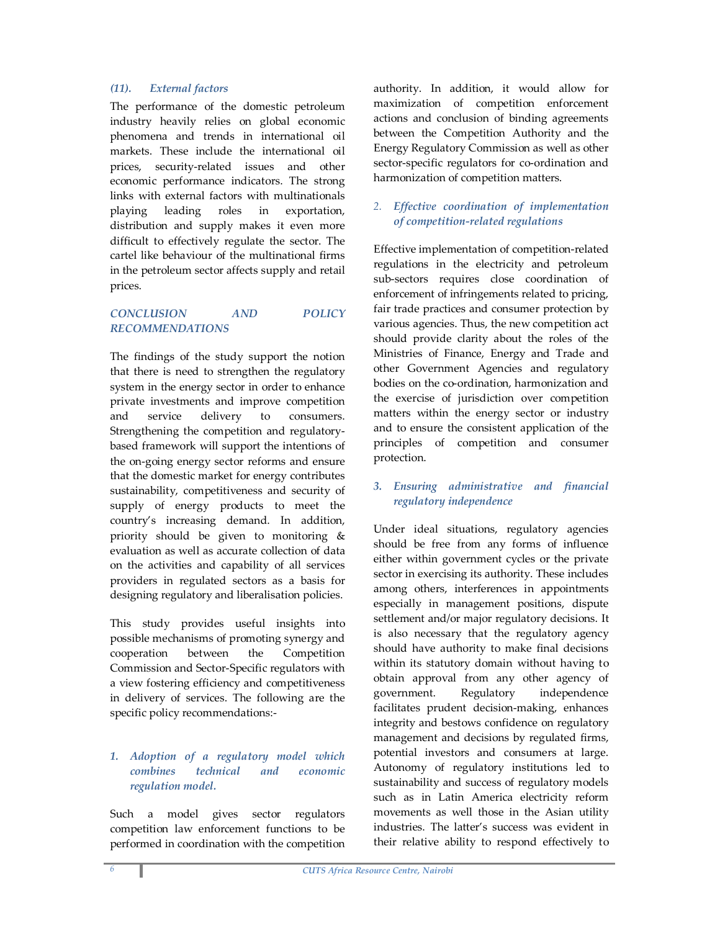### (11). External factors

The performance of the domestic petroleum industry heavily relies on global economic phenomena and trends in international oil markets. These include the international oil prices, security-related issues and other economic performance indicators. The strong links with external factors with multinationals playing leading roles in exportation, distribution and supply makes it even more difficult to effectively regulate the sector. The cartel like behaviour of the multinational firms in the petroleum sector affects supply and retail prices.

# CONCLUSION AND POLICY RECOMMENDATIONS

The findings of the study support the notion that there is need to strengthen the regulatory system in the energy sector in order to enhance private investments and improve competition and service delivery to consumers. Strengthening the competition and regulatorybased framework will support the intentions of the on-going energy sector reforms and ensure that the domestic market for energy contributes sustainability, competitiveness and security of supply of energy products to meet the country's increasing demand. In addition, priority should be given to monitoring & evaluation as well as accurate collection of data on the activities and capability of all services providers in regulated sectors as a basis for designing regulatory and liberalisation policies.

This study provides useful insights into possible mechanisms of promoting synergy and cooperation between the Competition Commission and Sector-Specific regulators with a view fostering efficiency and competitiveness in delivery of services. The following are the specific policy recommendations:-

### 1. Adoption of a regulatory model which combines technical and economic regulation model.

Such a model gives sector regulators competition law enforcement functions to be performed in coordination with the competition

authority. In addition, it would allow for maximization of competition enforcement actions and conclusion of binding agreements between the Competition Authority and the Energy Regulatory Commission as well as other sector-specific regulators for co-ordination and harmonization of competition matters.

# 2. Effective coordination of implementation of competition-related regulations

Effective implementation of competition-related regulations in the electricity and petroleum sub-sectors requires close coordination of enforcement of infringements related to pricing, fair trade practices and consumer protection by various agencies. Thus, the new competition act should provide clarity about the roles of the Ministries of Finance, Energy and Trade and other Government Agencies and regulatory bodies on the co-ordination, harmonization and the exercise of jurisdiction over competition matters within the energy sector or industry and to ensure the consistent application of the principles of competition and consumer protection.

# 3. Ensuring administrative and financial regulatory independence

Under ideal situations, regulatory agencies should be free from any forms of influence either within government cycles or the private sector in exercising its authority. These includes among others, interferences in appointments especially in management positions, dispute settlement and/or major regulatory decisions. It is also necessary that the regulatory agency should have authority to make final decisions within its statutory domain without having to obtain approval from any other agency of government. Regulatory independence facilitates prudent decision-making, enhances integrity and bestows confidence on regulatory management and decisions by regulated firms, potential investors and consumers at large. Autonomy of regulatory institutions led to sustainability and success of regulatory models such as in Latin America electricity reform movements as well those in the Asian utility industries. The latter's success was evident in their relative ability to respond effectively to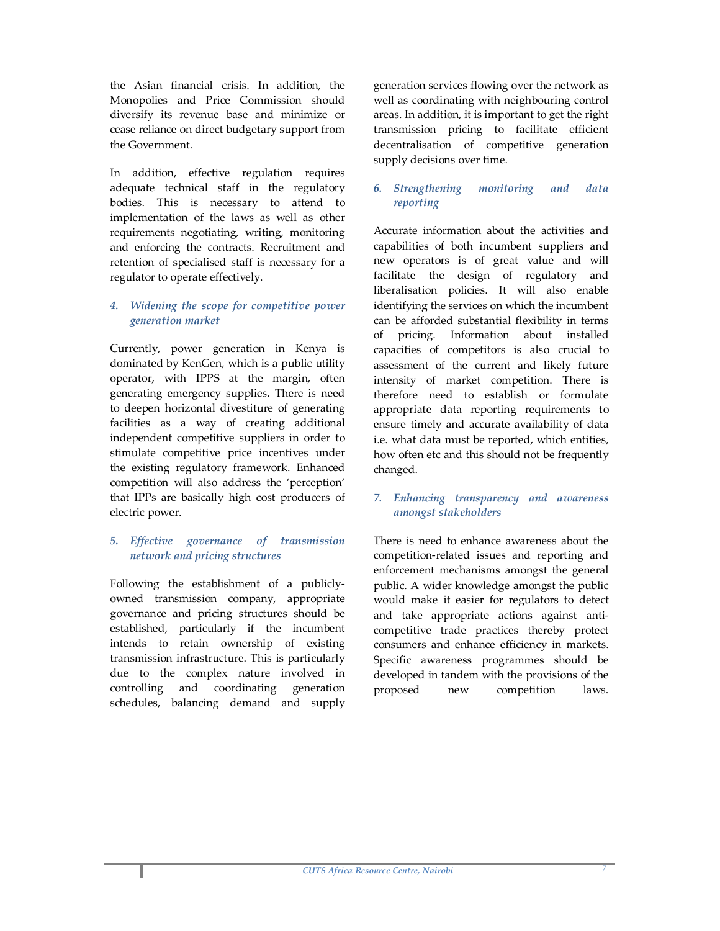the Asian financial crisis. In addition, the Monopolies and Price Commission should diversify its revenue base and minimize or cease reliance on direct budgetary support from the Government.

In addition, effective regulation requires adequate technical staff in the regulatory bodies. This is necessary to attend to implementation of the laws as well as other requirements negotiating, writing, monitoring and enforcing the contracts. Recruitment and retention of specialised staff is necessary for a regulator to operate effectively.

### 4. Widening the scope for competitive power generation market

Currently, power generation in Kenya is dominated by KenGen, which is a public utility operator, with IPPS at the margin, often generating emergency supplies. There is need to deepen horizontal divestiture of generating facilities as a way of creating additional independent competitive suppliers in order to stimulate competitive price incentives under the existing regulatory framework. Enhanced competition will also address the 'perception' that IPPs are basically high cost producers of electric power.

# 5. Effective governance of transmission network and pricing structures

Following the establishment of a publiclyowned transmission company, appropriate governance and pricing structures should be established, particularly if the incumbent intends to retain ownership of existing transmission infrastructure. This is particularly due to the complex nature involved in controlling and coordinating generation schedules, balancing demand and supply

generation services flowing over the network as well as coordinating with neighbouring control areas. In addition, it is important to get the right transmission pricing to facilitate efficient decentralisation of competitive generation supply decisions over time.

### 6. Strengthening monitoring and data reporting

Accurate information about the activities and capabilities of both incumbent suppliers and new operators is of great value and will facilitate the design of regulatory and liberalisation policies. It will also enable identifying the services on which the incumbent can be afforded substantial flexibility in terms of pricing. Information about installed capacities of competitors is also crucial to assessment of the current and likely future intensity of market competition. There is therefore need to establish or formulate appropriate data reporting requirements to ensure timely and accurate availability of data i.e. what data must be reported, which entities, how often etc and this should not be frequently changed.

### 7. Enhancing transparency and awareness amongst stakeholders

There is need to enhance awareness about the competition-related issues and reporting and enforcement mechanisms amongst the general public. A wider knowledge amongst the public would make it easier for regulators to detect and take appropriate actions against anticompetitive trade practices thereby protect consumers and enhance efficiency in markets. Specific awareness programmes should be developed in tandem with the provisions of the proposed new competition laws.